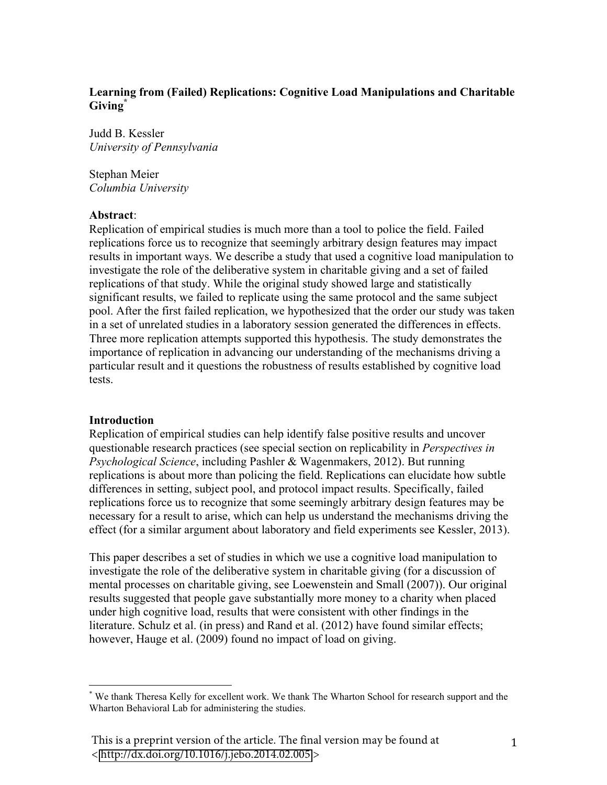# **Learning from (Failed) Replications: Cognitive Load Manipulations and Charitable Giving\***

Judd B. Kessler *University of Pennsylvania*

Stephan Meier *Columbia University*

#### **Abstract**:

Replication of empirical studies is much more than a tool to police the field. Failed replications force us to recognize that seemingly arbitrary design features may impact results in important ways. We describe a study that used a cognitive load manipulation to investigate the role of the deliberative system in charitable giving and a set of failed replications of that study. While the original study showed large and statistically significant results, we failed to replicate using the same protocol and the same subject pool. After the first failed replication, we hypothesized that the order our study was taken in a set of unrelated studies in a laboratory session generated the differences in effects. Three more replication attempts supported this hypothesis. The study demonstrates the importance of replication in advancing our understanding of the mechanisms driving a particular result and it questions the robustness of results established by cognitive load tests.

#### **Introduction**

!!!!!!!!!!!!!!!!!!!!!!!!!!!!!!!!!!!!!!!!!!!!!!!!!!!!!!!

Replication of empirical studies can help identify false positive results and uncover questionable research practices (see special section on replicability in *Perspectives in Psychological Science*, including Pashler & Wagenmakers, 2012). But running replications is about more than policing the field. Replications can elucidate how subtle differences in setting, subject pool, and protocol impact results. Specifically, failed replications force us to recognize that some seemingly arbitrary design features may be necessary for a result to arise, which can help us understand the mechanisms driving the effect (for a similar argument about laboratory and field experiments see Kessler, 2013).

This paper describes a set of studies in which we use a cognitive load manipulation to investigate the role of the deliberative system in charitable giving (for a discussion of mental processes on charitable giving, see Loewenstein and Small (2007)). Our original results suggested that people gave substantially more money to a charity when placed under high cognitive load, results that were consistent with other findings in the literature. Schulz et al. (in press) and Rand et al. (2012) have found similar effects; however, Hauge et al. (2009) found no impact of load on giving.

<sup>\*</sup> We thank Theresa Kelly for excellent work. We thank The Wharton School for research support and the Wharton Behavioral Lab for administering the studies.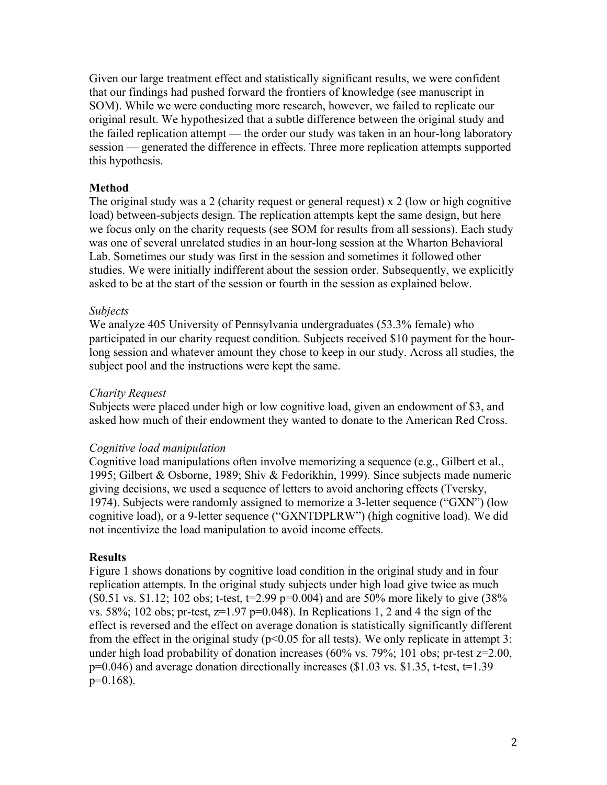Given our large treatment effect and statistically significant results, we were confident that our findings had pushed forward the frontiers of knowledge (see manuscript in SOM). While we were conducting more research, however, we failed to replicate our original result. We hypothesized that a subtle difference between the original study and the failed replication attempt — the order our study was taken in an hour-long laboratory session — generated the difference in effects. Three more replication attempts supported this hypothesis.

### **Method**

The original study was a 2 (charity request or general request) x 2 (low or high cognitive load) between-subjects design. The replication attempts kept the same design, but here we focus only on the charity requests (see SOM for results from all sessions). Each study was one of several unrelated studies in an hour-long session at the Wharton Behavioral Lab. Sometimes our study was first in the session and sometimes it followed other studies. We were initially indifferent about the session order. Subsequently, we explicitly asked to be at the start of the session or fourth in the session as explained below.

## *Subjects*

We analyze 405 University of Pennsylvania undergraduates (53.3% female) who participated in our charity request condition. Subjects received \$10 payment for the hourlong session and whatever amount they chose to keep in our study. Across all studies, the subject pool and the instructions were kept the same.

### *Charity Request*

Subjects were placed under high or low cognitive load, given an endowment of \$3, and asked how much of their endowment they wanted to donate to the American Red Cross.

#### *Cognitive load manipulation*

Cognitive load manipulations often involve memorizing a sequence (e.g., Gilbert et al., 1995; Gilbert & Osborne, 1989; Shiv & Fedorikhin, 1999). Since subjects made numeric giving decisions, we used a sequence of letters to avoid anchoring effects (Tversky, 1974). Subjects were randomly assigned to memorize a 3-letter sequence ("GXN") (low cognitive load), or a 9-letter sequence ("GXNTDPLRW") (high cognitive load). We did not incentivize the load manipulation to avoid income effects.

#### **Results**

Figure 1 shows donations by cognitive load condition in the original study and in four replication attempts. In the original study subjects under high load give twice as much  $($ \$0.51 vs. \$1.12; 102 obs; t-test, t=2.99 p=0.004) and are 50% more likely to give  $(38\%$ vs. 58%; 102 obs; pr-test,  $z=1.97$  p=0.048). In Replications 1, 2 and 4 the sign of the effect is reversed and the effect on average donation is statistically significantly different from the effect in the original study ( $p<0.05$  for all tests). We only replicate in attempt 3: under high load probability of donation increases  $(60\% \text{ vs. } 79\%; 101 \text{ obs}; \text{ pr-test } z=2.00,$  $p=0.046$ ) and average donation directionally increases (\$1.03 vs. \$1.35, t-test,  $t=1.39$ )  $p=0.168$ ).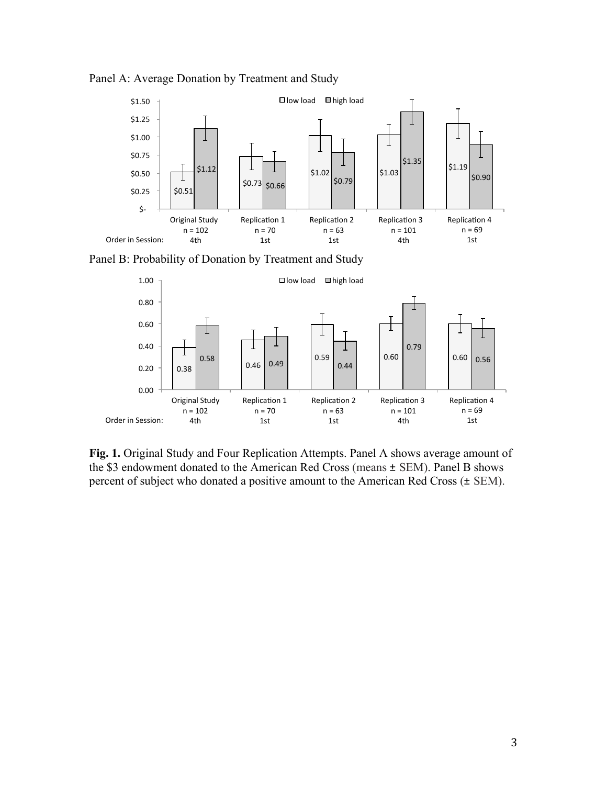

Panel A: Average Donation by Treatment and Study





**Fig. 1.** Original Study and Four Replication Attempts. Panel A shows average amount of the \$3 endowment donated to the American Red Cross (means ± SEM). Panel B shows percent of subject who donated a positive amount to the American Red Cross (± SEM).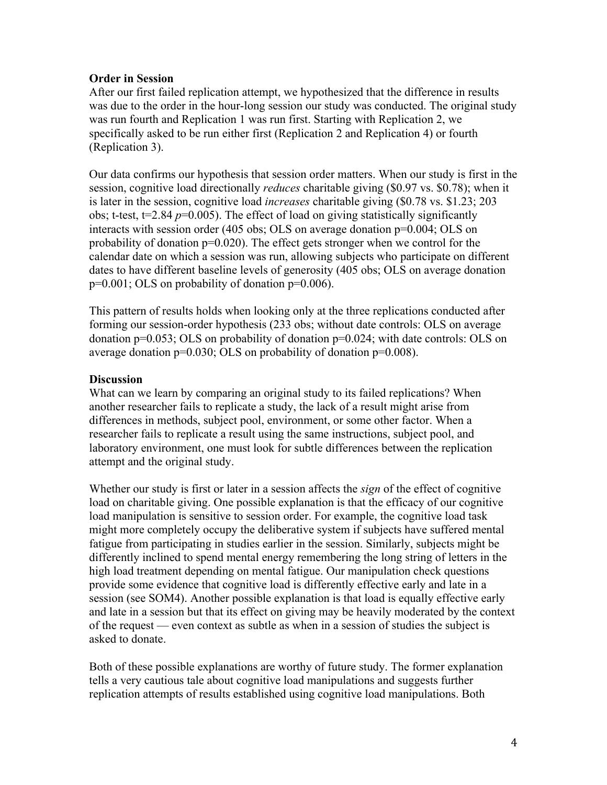## **Order in Session**

After our first failed replication attempt, we hypothesized that the difference in results was due to the order in the hour-long session our study was conducted. The original study was run fourth and Replication 1 was run first. Starting with Replication 2, we specifically asked to be run either first (Replication 2 and Replication 4) or fourth (Replication 3).

Our data confirms our hypothesis that session order matters. When our study is first in the session, cognitive load directionally *reduces* charitable giving (\$0.97 vs. \$0.78); when it is later in the session, cognitive load *increases* charitable giving (\$0.78 vs. \$1.23; 203 obs; t-test,  $t=2.84$   $p=0.005$ ). The effect of load on giving statistically significantly interacts with session order (405 obs; OLS on average donation p=0.004; OLS on probability of donation p=0.020). The effect gets stronger when we control for the calendar date on which a session was run, allowing subjects who participate on different dates to have different baseline levels of generosity (405 obs; OLS on average donation p=0.001; OLS on probability of donation p=0.006).

This pattern of results holds when looking only at the three replications conducted after forming our session-order hypothesis (233 obs; without date controls: OLS on average donation p=0.053; OLS on probability of donation p=0.024; with date controls: OLS on average donation p=0.030; OLS on probability of donation p=0.008).

## **Discussion**

What can we learn by comparing an original study to its failed replications? When another researcher fails to replicate a study, the lack of a result might arise from differences in methods, subject pool, environment, or some other factor. When a researcher fails to replicate a result using the same instructions, subject pool, and laboratory environment, one must look for subtle differences between the replication attempt and the original study.

Whether our study is first or later in a session affects the *sign* of the effect of cognitive load on charitable giving. One possible explanation is that the efficacy of our cognitive load manipulation is sensitive to session order. For example, the cognitive load task might more completely occupy the deliberative system if subjects have suffered mental fatigue from participating in studies earlier in the session. Similarly, subjects might be differently inclined to spend mental energy remembering the long string of letters in the high load treatment depending on mental fatigue. Our manipulation check questions provide some evidence that cognitive load is differently effective early and late in a session (see SOM4). Another possible explanation is that load is equally effective early and late in a session but that its effect on giving may be heavily moderated by the context of the request — even context as subtle as when in a session of studies the subject is asked to donate.

Both of these possible explanations are worthy of future study. The former explanation tells a very cautious tale about cognitive load manipulations and suggests further replication attempts of results established using cognitive load manipulations. Both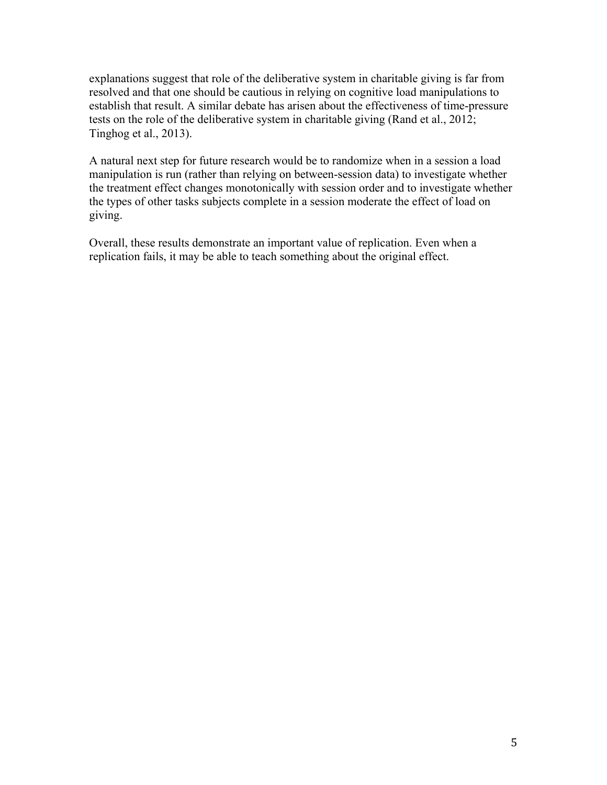explanations suggest that role of the deliberative system in charitable giving is far from resolved and that one should be cautious in relying on cognitive load manipulations to establish that result. A similar debate has arisen about the effectiveness of time-pressure tests on the role of the deliberative system in charitable giving (Rand et al., 2012; Tinghog et al., 2013).

A natural next step for future research would be to randomize when in a session a load manipulation is run (rather than relying on between-session data) to investigate whether the treatment effect changes monotonically with session order and to investigate whether the types of other tasks subjects complete in a session moderate the effect of load on giving.

Overall, these results demonstrate an important value of replication. Even when a replication fails, it may be able to teach something about the original effect.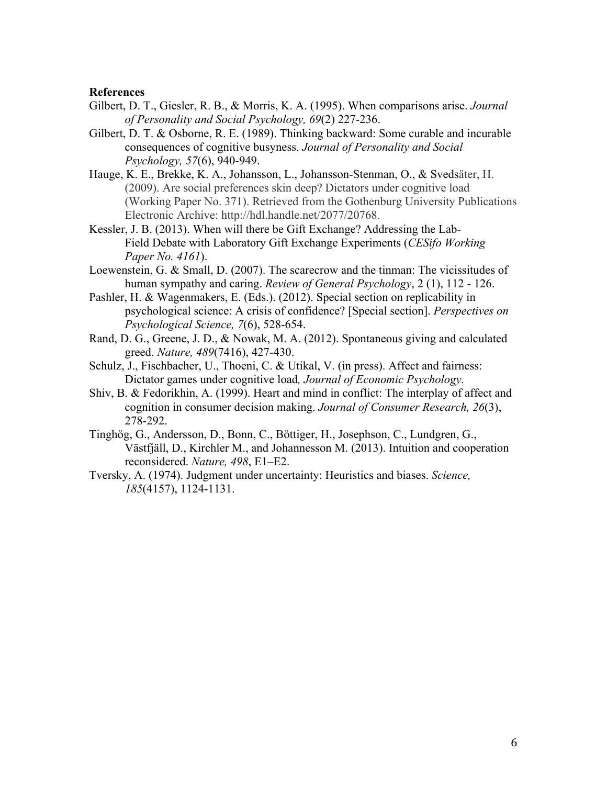#### **References**

- Gilbert, D. T., Giesler, R. B., & Morris, K. A. (1995). When comparisons arise. *Journal of Personality and Social Psychology, 69*(2) 227-236.
- Gilbert, D. T. & Osborne, R. E. (1989). Thinking backward: Some curable and incurable consequences of cognitive busyness. *Journal of Personality and Social Psychology, 57*(6), 940-949.
- Hauge, K. E., Brekke, K. A., Johansson, L., Johansson-Stenman, O., & Svedsäter, H. (2009). Are social preferences skin deep? Dictators under cognitive load (Working Paper No. 371). Retrieved from the Gothenburg University Publications Electronic Archive: http://hdl.handle.net/2077/20768.
- Kessler, J. B. (2013). When will there be Gift Exchange? Addressing the Lab-Field Debate with Laboratory Gift Exchange Experiments (*CESifo Working Paper No. 4161*).
- Loewenstein, G. & Small, D. (2007). The scarecrow and the tinman: The vicissitudes of human sympathy and caring. *Review of General Psychology*, 2 (1), 112 - 126.
- Pashler, H. & Wagenmakers, E. (Eds.). (2012). Special section on replicability in psychological science: A crisis of confidence? [Special section]. *Perspectives on Psychological Science, 7*(6), 528-654.
- Rand, D. G., Greene, J. D., & Nowak, M. A. (2012). Spontaneous giving and calculated greed. *Nature, 489*(7416), 427-430.
- Schulz, J., Fischbacher, U., Thoeni, C. & Utikal, V. (in press). Affect and fairness: Dictator games under cognitive load*, Journal of Economic Psychology.*
- Shiv, B. & Fedorikhin, A. (1999). Heart and mind in conflict: The interplay of affect and cognition in consumer decision making. *Journal of Consumer Research, 26*(3), 278-292.
- Tinghög, G., Andersson, D., Bonn, C., Böttiger, H., Josephson, C., Lundgren, G., Västfjäll, D., Kirchler M., and Johannesson M. (2013). Intuition and cooperation reconsidered. *Nature, 498*, E1–E2.
- Tversky, A. (1974). Judgment under uncertainty: Heuristics and biases. *Science, 185*(4157), 1124-1131.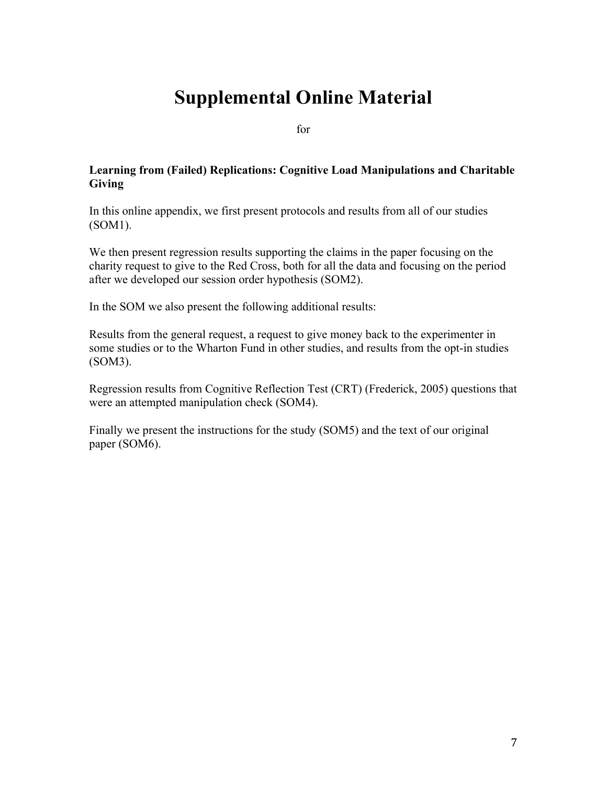# **Supplemental Online Material**

for

## **Learning from (Failed) Replications: Cognitive Load Manipulations and Charitable Giving**

In this online appendix, we first present protocols and results from all of our studies (SOM1).

We then present regression results supporting the claims in the paper focusing on the charity request to give to the Red Cross, both for all the data and focusing on the period after we developed our session order hypothesis (SOM2).

In the SOM we also present the following additional results:

Results from the general request, a request to give money back to the experimenter in some studies or to the Wharton Fund in other studies, and results from the opt-in studies (SOM3).

Regression results from Cognitive Reflection Test (CRT) (Frederick, 2005) questions that were an attempted manipulation check (SOM4).

Finally we present the instructions for the study (SOM5) and the text of our original paper (SOM6).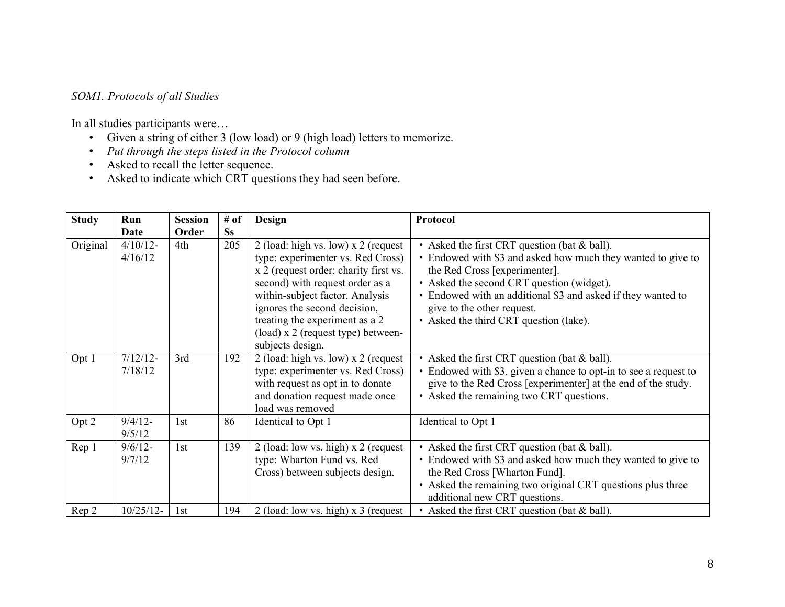# *SOM1. Protocols of all Studies*

In all studies participants were…

- Given a string of either 3 (low load) or 9 (high load) letters to memorize.
- *Put through the steps listed in the Protocol column*
- Asked to recall the letter sequence.
- Asked to indicate which CRT questions they had seen before.

| <b>Study</b> | Run         | <b>Session</b> | # of      | <b>Design</b>                         | Protocol                                                         |
|--------------|-------------|----------------|-----------|---------------------------------------|------------------------------------------------------------------|
|              | Date        | Order          | <b>Ss</b> |                                       |                                                                  |
| Original     | $4/10/12$ - | 4th            | 205       | 2 (load: high vs. low) $x$ 2 (request | • Asked the first CRT question (bat & ball).                     |
|              | 4/16/12     |                |           | type: experimenter vs. Red Cross)     | • Endowed with \$3 and asked how much they wanted to give to     |
|              |             |                |           | x 2 (request order: charity first vs. | the Red Cross [experimenter].                                    |
|              |             |                |           | second) with request order as a       | • Asked the second CRT question (widget).                        |
|              |             |                |           | within-subject factor. Analysis       | • Endowed with an additional \$3 and asked if they wanted to     |
|              |             |                |           | ignores the second decision,          | give to the other request.                                       |
|              |             |                |           | treating the experiment as a 2        | • Asked the third CRT question (lake).                           |
|              |             |                |           | (load) x 2 (request type) between-    |                                                                  |
|              |             |                |           | subjects design.                      |                                                                  |
| Opt 1        | $7/12/12$ - | 3rd            | 192       | 2 (load: high vs. low) x 2 (request   | • Asked the first CRT question (bat & ball).                     |
|              | 7/18/12     |                |           | type: experimenter vs. Red Cross)     | • Endowed with \$3, given a chance to opt-in to see a request to |
|              |             |                |           | with request as opt in to donate      | give to the Red Cross [experimenter] at the end of the study.    |
|              |             |                |           | and donation request made once        | • Asked the remaining two CRT questions.                         |
|              |             |                |           | load was removed                      |                                                                  |
| Opt 2        | $9/4/12 -$  | 1st            | 86        | Identical to Opt 1                    | Identical to Opt 1                                               |
|              | 9/5/12      |                |           |                                       |                                                                  |
| Rep 1        | $9/6/12$ -  | 1st            | 139       | 2 (load: low vs. high) $x$ 2 (request | • Asked the first CRT question (bat & ball).                     |
|              | 9/7/12      |                |           | type: Wharton Fund vs. Red            | • Endowed with \$3 and asked how much they wanted to give to     |
|              |             |                |           | Cross) between subjects design.       | the Red Cross [Wharton Fund].                                    |
|              |             |                |           |                                       | • Asked the remaining two original CRT questions plus three      |
|              |             |                |           |                                       | additional new CRT questions.                                    |
| Rep 2        | $10/25/12-$ | 1st            | 194       | 2 (load: low vs. high) $x$ 3 (request | • Asked the first CRT question (bat & ball).                     |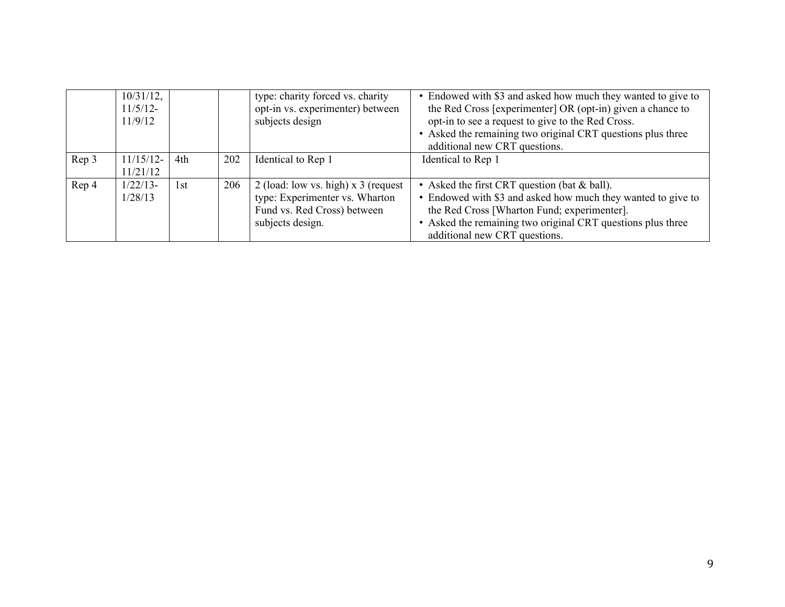|       | $10/31/12$ ,<br>11/5/12-<br>11/9/12 |     |     | type: charity forced vs. charity<br>opt-in vs. experimenter) between<br>subjects design                                    | • Endowed with \$3 and asked how much they wanted to give to<br>the Red Cross [experimenter] OR (opt-in) given a chance to<br>opt-in to see a request to give to the Red Cross.<br>• Asked the remaining two original CRT questions plus three<br>additional new CRT questions. |
|-------|-------------------------------------|-----|-----|----------------------------------------------------------------------------------------------------------------------------|---------------------------------------------------------------------------------------------------------------------------------------------------------------------------------------------------------------------------------------------------------------------------------|
| Rep 3 | $11/15/12$ -<br>11/21/12            | 4th | 202 | Identical to Rep 1                                                                                                         | Identical to Rep 1                                                                                                                                                                                                                                                              |
| Rep 4 | $1/22/13$ -<br>1/28/13              | 1st | 206 | 2 (load: low vs. high) $x$ 3 (request<br>type: Experimenter vs. Wharton<br>Fund vs. Red Cross) between<br>subjects design. | • Asked the first CRT question (bat & ball).<br>• Endowed with \$3 and asked how much they wanted to give to<br>the Red Cross [Wharton Fund; experimenter].<br>• Asked the remaining two original CRT questions plus three<br>additional new CRT questions.                     |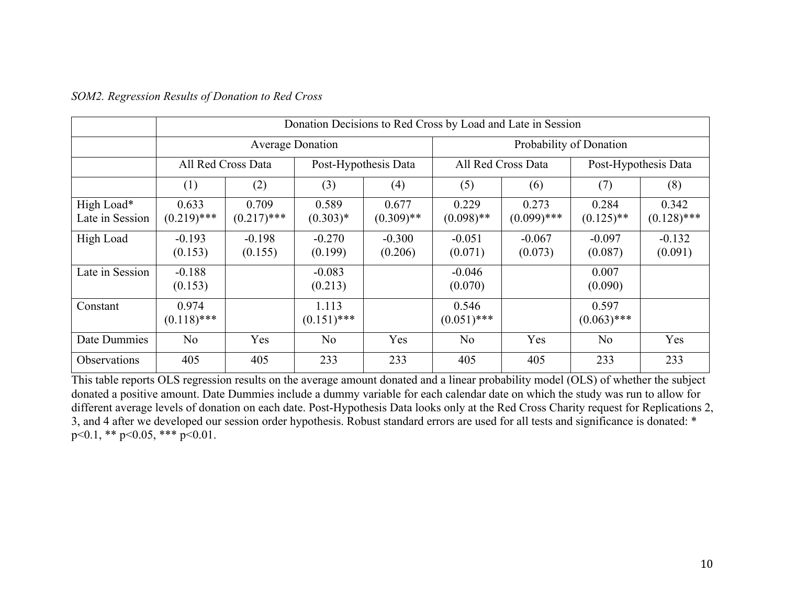|                               |                        | Donation Decisions to Red Cross by Load and Late in Session |                         |                       |                         |                        |                        |                        |  |  |  |  |  |
|-------------------------------|------------------------|-------------------------------------------------------------|-------------------------|-----------------------|-------------------------|------------------------|------------------------|------------------------|--|--|--|--|--|
|                               |                        |                                                             | <b>Average Donation</b> |                       | Probability of Donation |                        |                        |                        |  |  |  |  |  |
|                               |                        | All Red Cross Data                                          |                         | Post-Hypothesis Data  |                         | All Red Cross Data     | Post-Hypothesis Data   |                        |  |  |  |  |  |
|                               | (1)<br>(2)             |                                                             | (3)                     | (4)                   | (5)                     | (6)                    | (7)                    | (8)                    |  |  |  |  |  |
| High Load*<br>Late in Session | 0.633<br>$(0.219)$ *** | 0.709<br>$(0.217)$ ***                                      | 0.589<br>$(0.303)*$     | 0.677<br>$(0.309)$ ** | 0.229<br>$(0.098)$ **   | 0.273<br>$(0.099)$ *** | 0.284<br>$(0.125)$ **  | 0.342<br>$(0.128)$ *** |  |  |  |  |  |
| High Load                     | $-0.193$<br>(0.153)    | $-0.198$<br>(0.155)                                         | $-0.270$<br>(0.199)     | $-0.300$<br>(0.206)   | $-0.051$<br>(0.071)     | $-0.067$<br>(0.073)    | $-0.097$<br>(0.087)    | $-0.132$<br>(0.091)    |  |  |  |  |  |
| Late in Session               | $-0.188$<br>(0.153)    |                                                             | $-0.083$<br>(0.213)     |                       | $-0.046$<br>(0.070)     |                        | 0.007<br>(0.090)       |                        |  |  |  |  |  |
| Constant                      | 0.974<br>$(0.118)$ *** |                                                             | 1.113<br>$(0.151)$ ***  |                       | 0.546<br>$(0.051)$ ***  |                        | 0.597<br>$(0.063)$ *** |                        |  |  |  |  |  |
| Date Dummies                  | N <sub>0</sub>         | Yes                                                         | N <sub>0</sub>          | Yes                   | N <sub>0</sub>          | Yes                    | N <sub>0</sub>         | Yes                    |  |  |  |  |  |
| Observations                  | 405                    | 405                                                         | 233                     | 233                   | 405                     | 405                    | 233                    | 233                    |  |  |  |  |  |

#### *SOM2. Regression Results of Donation to Red Cross*

This table reports OLS regression results on the average amount donated and a linear probability model (OLS) of whether the subject donated a positive amount. Date Dummies include a dummy variable for each calendar date on which the study was run to allow for different average levels of donation on each date. Post-Hypothesis Data looks only at the Red Cross Charity request for Replications 2, 3, and 4 after we developed our session order hypothesis. Robust standard errors are used for all tests and significance is donated: \*  $p<0.1$ , \*\*  $p<0.05$ , \*\*\*  $p<0.01$ .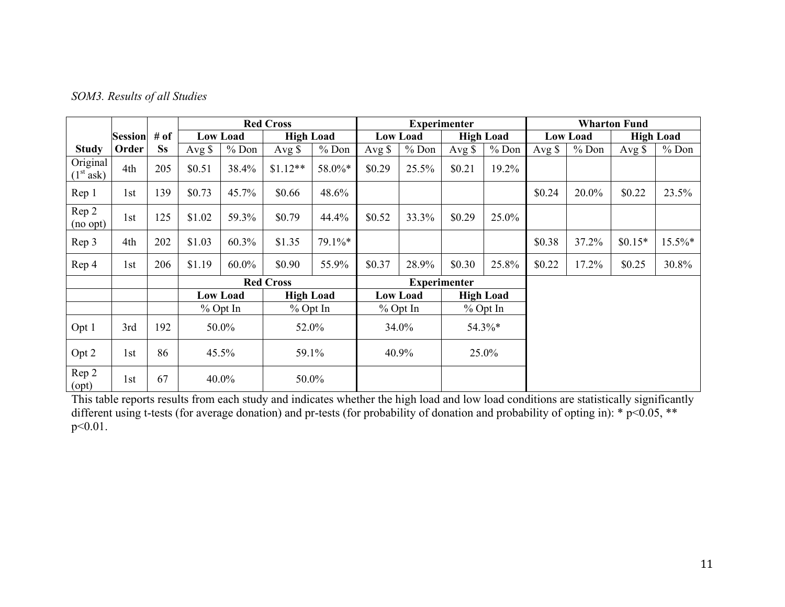| SOM3. Results of all Studies |  |
|------------------------------|--|
|------------------------------|--|

|                                                |                |           |                  |                 | <b>Red Cross</b> |         |                 |                 | <b>Experimenter</b> |                  | <b>Wharton Fund</b> |                 |          |                  |  |
|------------------------------------------------|----------------|-----------|------------------|-----------------|------------------|---------|-----------------|-----------------|---------------------|------------------|---------------------|-----------------|----------|------------------|--|
|                                                | <b>Session</b> | # of      |                  | <b>Low Load</b> | <b>High Load</b> |         |                 | <b>Low Load</b> |                     | <b>High Load</b> |                     | <b>Low Load</b> |          | <b>High Load</b> |  |
| <b>Study</b>                                   | Order          | <b>Ss</b> | Avg $\sqrt{s}$   | $%$ Don         | Avg $\$          | $%$ Don | Avg $\sqrt{s}$  | $%$ Don         | Avg $\sqrt{s}$      | $%$ Don          | Avg $\$             | $%$ Don         | Avg \$   | $%$ Don          |  |
| Original<br>(1 <sup>st</sup> a <sub>sk</sub> ) | 4th            | 205       | \$0.51           | 38.4%           | $$1.12**$        | 58.0%*  | \$0.29          | 25.5%           | \$0.21              | 19.2%            |                     |                 |          |                  |  |
| Rep 1                                          | 1st            | 139       | \$0.73           | 45.7%           | \$0.66           | 48.6%   |                 |                 |                     |                  | \$0.24              | 20.0%           | \$0.22   | 23.5%            |  |
| Rep 2<br>(no opt)                              | 1st            | 125       | \$1.02           | 59.3%           | \$0.79           | 44.4%   | \$0.52          | 33.3%           | \$0.29              | 25.0%            |                     |                 |          |                  |  |
| Rep 3                                          | 4th            | 202       | \$1.03           | 60.3%           | \$1.35           | 79.1%*  |                 |                 |                     |                  | \$0.38              | 37.2%           | $$0.15*$ | $15.5\%*$        |  |
| Rep 4                                          | 1st            | 206       | \$1.19           | 60.0%           | \$0.90           | 55.9%   | \$0.37          | 28.9%           | \$0.30              | 25.8%            | \$0.22              | 17.2%           | \$0.25   | 30.8%            |  |
|                                                |                |           | <b>Red Cross</b> |                 |                  |         |                 |                 | <b>Experimenter</b> |                  |                     |                 |          |                  |  |
|                                                |                |           |                  | <b>Low Load</b> | <b>High Load</b> |         | <b>Low Load</b> |                 | <b>High Load</b>    |                  |                     |                 |          |                  |  |
|                                                |                |           |                  | $%$ Opt In      | % Opt In         |         | $%$ Opt In      |                 | $%$ Opt In          |                  |                     |                 |          |                  |  |
| Opt 1                                          | 3rd            | 192       | 50.0%            |                 | 52.0%            |         | 34.0%           |                 | 54.3%*              |                  |                     |                 |          |                  |  |
| Opt 2                                          | 1st            | 86        | 45.5%            |                 | 59.1%            |         | 40.9%           |                 | 25.0%               |                  |                     |                 |          |                  |  |
| Rep 2<br>(opt)                                 | 1st            | 67        | 40.0%            |                 | 50.0%            |         |                 |                 |                     |                  |                     |                 |          |                  |  |

This table reports results from each study and indicates whether the high load and low load conditions are statistically significantly different using t-tests (for average donation) and pr-tests (for probability of donation and probability of opting in): \* p<0.05, \*\* p<0.01.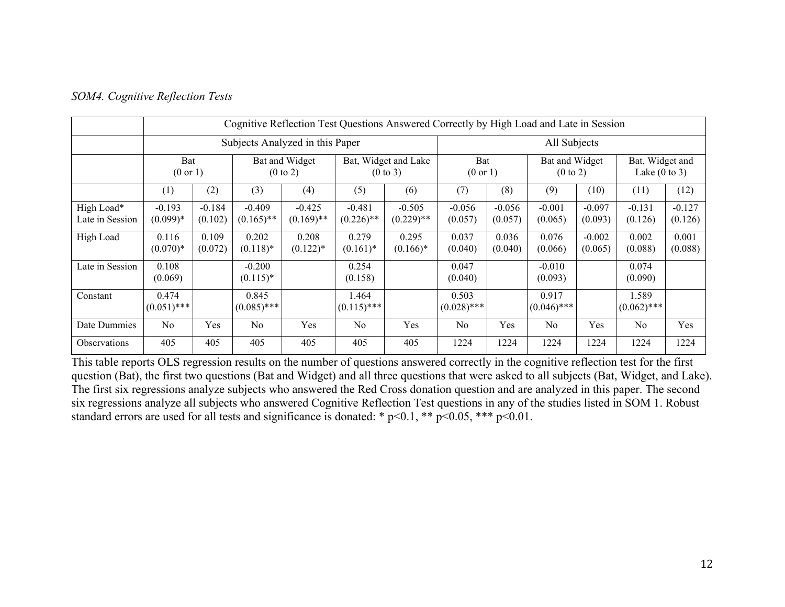|                               |                            | Cognitive Reflection Test Questions Answered Correctly by High Load and Late in Session |                                       |                                 |                                             |                          |                            |                     |                                       |                     |                                             |                     |
|-------------------------------|----------------------------|-----------------------------------------------------------------------------------------|---------------------------------------|---------------------------------|---------------------------------------------|--------------------------|----------------------------|---------------------|---------------------------------------|---------------------|---------------------------------------------|---------------------|
|                               |                            |                                                                                         |                                       | Subjects Analyzed in this Paper |                                             | All Subjects             |                            |                     |                                       |                     |                                             |                     |
|                               | Bat<br>$(0 \text{ or } 1)$ |                                                                                         | Bat and Widget<br>$(0 \text{ to } 2)$ |                                 | Bat, Widget and Lake<br>$(0 \text{ to } 3)$ |                          | Bat<br>$(0 \text{ or } 1)$ |                     | Bat and Widget<br>$(0 \text{ to } 2)$ |                     | Bat, Widget and<br>Lake $(0 \text{ to } 3)$ |                     |
|                               | (1)                        | (2)                                                                                     | (3)                                   | (4)                             | (5)                                         | (6)                      | (7)                        | (8)                 | (9)                                   | (10)                | (11)                                        | (12)                |
| High Load*<br>Late in Session | $-0.193$<br>$(0.099)*$     | $-0.184$<br>(0.102)                                                                     | $-0.409$<br>$(0.165)$ **              | $-0.425$<br>$(0.169)$ **        | $-0.481$<br>$(0.226)$ **                    | $-0.505$<br>$(0.229)$ ** | $-0.056$<br>(0.057)        | $-0.056$<br>(0.057) | $-0.001$<br>(0.065)                   | $-0.097$<br>(0.093) | $-0.131$<br>(0.126)                         | $-0.127$<br>(0.126) |
| High Load                     | 0.116<br>$(0.070)*$        | 0.109<br>(0.072)                                                                        | 0.202<br>$(0.118)$ *                  | 0.208<br>$(0.122)$ *            | 0.279<br>$(0.161)^*$                        | 0.295<br>$(0.166)^*$     | 0.037<br>(0.040)           | 0.036<br>(0.040)    | 0.076<br>(0.066)                      | $-0.002$<br>(0.065) | 0.002<br>(0.088)                            | 0.001<br>(0.088)    |
| Late in Session               | 0.108<br>(0.069)           |                                                                                         | $-0.200$<br>$(0.115)^*$               |                                 | 0.254<br>(0.158)                            |                          | 0.047<br>(0.040)           |                     | $-0.010$<br>(0.093)                   |                     | 0.074<br>(0.090)                            |                     |
| Constant                      | 0.474<br>$(0.051)$ ***     |                                                                                         | 0.845<br>$(0.085)$ ***                |                                 | 1.464<br>$(0.115)$ ***                      |                          | 0.503<br>$(0.028)$ ***     |                     | 0.917<br>$(0.046)$ ***                |                     | 1.589<br>$(0.062)$ ***                      |                     |
| Date Dummies                  | N <sub>0</sub>             | Yes                                                                                     | N <sub>0</sub>                        | Yes                             | N <sub>0</sub>                              | Yes                      | N <sub>0</sub>             | Yes                 | N <sub>0</sub>                        | Yes                 | N <sub>0</sub>                              | Yes                 |
| <b>Observations</b>           | 405                        | 405                                                                                     | 405                                   | 405                             | 405                                         | 405                      | 1224                       | 1224                | 1224                                  | 1224                | 1224                                        | 1224                |

#### *SOM4. Cognitive Reflection Tests*

This table reports OLS regression results on the number of questions answered correctly in the cognitive reflection test for the first question (Bat), the first two questions (Bat and Widget) and all three questions that were asked to all subjects (Bat, Widget, and Lake). The first six regressions analyze subjects who answered the Red Cross donation question and are analyzed in this paper. The second six regressions analyze all subjects who answered Cognitive Reflection Test questions in any of the studies listed in SOM 1. Robust standard errors are used for all tests and significance is donated: \*  $p<0.1$ , \*\*  $p<0.05$ , \*\*\*  $p<0.01$ .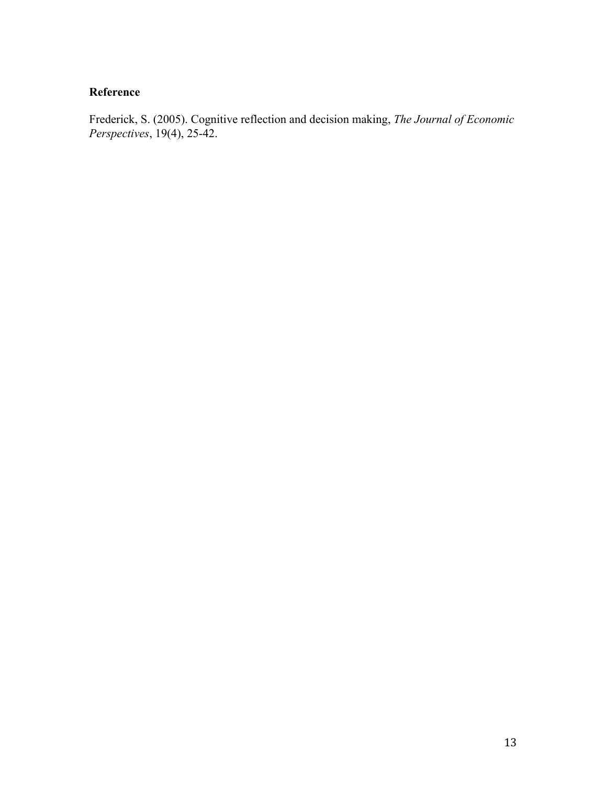# **Reference**

Frederick, S. (2005). Cognitive reflection and decision making, *The Journal of Economic Perspectives*, 19(4), 25-42.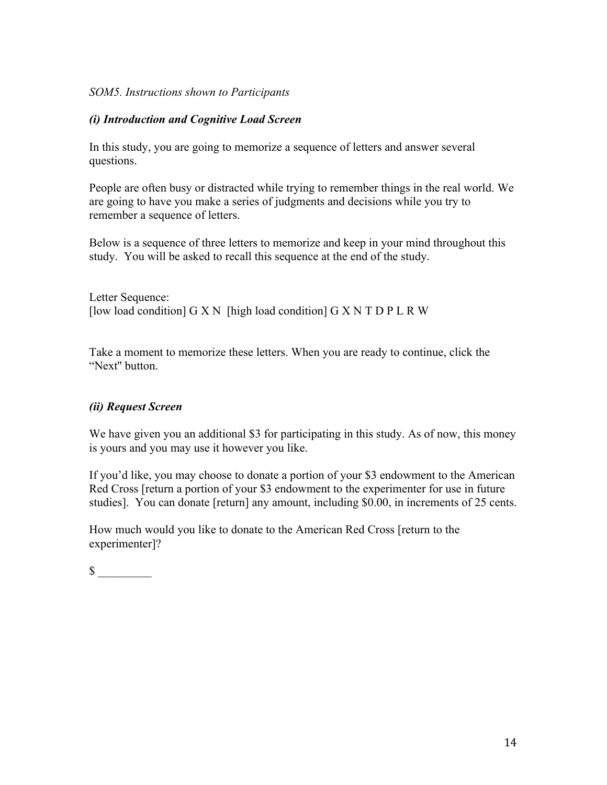# *SOM5. Instructions shown to Participants*

# *(i) Introduction and Cognitive Load Screen*

In this study, you are going to memorize a sequence of letters and answer several questions.

People are often busy or distracted while trying to remember things in the real world. We are going to have you make a series of judgments and decisions while you try to remember a sequence of letters.

Below is a sequence of three letters to memorize and keep in your mind throughout this study. You will be asked to recall this sequence at the end of the study.

Letter Sequence: [low load condition]  $G X N$  [high load condition]  $G X N T D P L R W$ 

Take a moment to memorize these letters. When you are ready to continue, click the "Next'' button.

# *(ii) Request Screen*

We have given you an additional \$3 for participating in this study. As of now, this money is yours and you may use it however you like.

If you'd like, you may choose to donate a portion of your \$3 endowment to the American Red Cross [return a portion of your \$3 endowment to the experimenter for use in future studies]. You can donate [return] any amount, including \$0.00, in increments of 25 cents.

How much would you like to donate to the American Red Cross [return to the experimenter]?

 $\sim$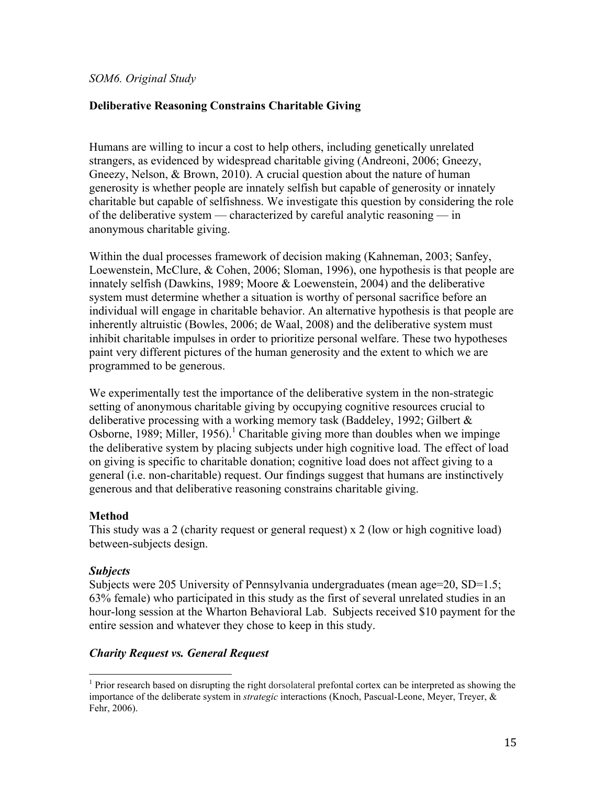*SOM6. Original Study*

# **Deliberative Reasoning Constrains Charitable Giving**

Humans are willing to incur a cost to help others, including genetically unrelated strangers, as evidenced by widespread charitable giving (Andreoni, 2006; Gneezy, Gneezy, Nelson, & Brown, 2010). A crucial question about the nature of human generosity is whether people are innately selfish but capable of generosity or innately charitable but capable of selfishness. We investigate this question by considering the role of the deliberative system — characterized by careful analytic reasoning — in anonymous charitable giving.

Within the dual processes framework of decision making (Kahneman, 2003; Sanfey, Loewenstein, McClure, & Cohen, 2006; Sloman, 1996), one hypothesis is that people are innately selfish (Dawkins, 1989; Moore & Loewenstein, 2004) and the deliberative system must determine whether a situation is worthy of personal sacrifice before an individual will engage in charitable behavior. An alternative hypothesis is that people are inherently altruistic (Bowles, 2006; de Waal, 2008) and the deliberative system must inhibit charitable impulses in order to prioritize personal welfare. These two hypotheses paint very different pictures of the human generosity and the extent to which we are programmed to be generous.

We experimentally test the importance of the deliberative system in the non-strategic setting of anonymous charitable giving by occupying cognitive resources crucial to deliberative processing with a working memory task (Baddeley, 1992; Gilbert  $\&$ Osborne, 1989; Miller, 1956).<sup>1</sup> Charitable giving more than doubles when we impinge the deliberative system by placing subjects under high cognitive load. The effect of load on giving is specific to charitable donation; cognitive load does not affect giving to a general (i.e. non-charitable) request. Our findings suggest that humans are instinctively generous and that deliberative reasoning constrains charitable giving.

#### **Method**

This study was a 2 (charity request or general request) x 2 (low or high cognitive load) between-subjects design.

# *Subjects*

Subjects were 205 University of Pennsylvania undergraduates (mean age=20, SD=1.5; 63% female) who participated in this study as the first of several unrelated studies in an hour-long session at the Wharton Behavioral Lab. Subjects received \$10 payment for the entire session and whatever they chose to keep in this study.

# *Charity Request vs. General Request*

<sup>&</sup>lt;sup>1</sup> Prior research based on disrupting the right dorsolateral prefontal cortex can be interpreted as showing the importance of the deliberate system in *strategic* interactions (Knoch, Pascual-Leone, Meyer, Treyer, & Fehr, 2006).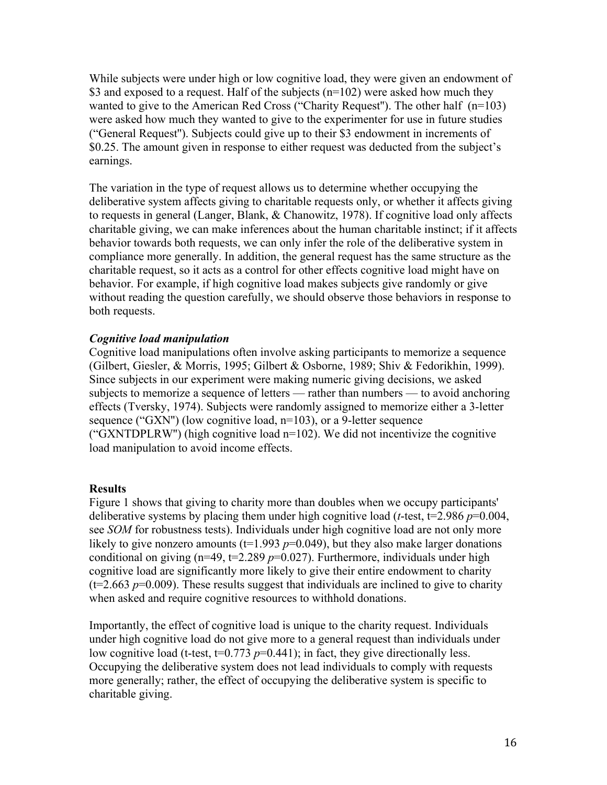While subjects were under high or low cognitive load, they were given an endowment of \$3 and exposed to a request. Half of the subjects (n=102) were asked how much they wanted to give to the American Red Cross ("Charity Request''). The other half (n=103) were asked how much they wanted to give to the experimenter for use in future studies ("General Request''). Subjects could give up to their \$3 endowment in increments of \$0.25. The amount given in response to either request was deducted from the subject's earnings.

The variation in the type of request allows us to determine whether occupying the deliberative system affects giving to charitable requests only, or whether it affects giving to requests in general (Langer, Blank, & Chanowitz, 1978). If cognitive load only affects charitable giving, we can make inferences about the human charitable instinct; if it affects behavior towards both requests, we can only infer the role of the deliberative system in compliance more generally. In addition, the general request has the same structure as the charitable request, so it acts as a control for other effects cognitive load might have on behavior. For example, if high cognitive load makes subjects give randomly or give without reading the question carefully, we should observe those behaviors in response to both requests.

# *Cognitive load manipulation*

Cognitive load manipulations often involve asking participants to memorize a sequence (Gilbert, Giesler, & Morris, 1995; Gilbert & Osborne, 1989; Shiv & Fedorikhin, 1999). Since subjects in our experiment were making numeric giving decisions, we asked subjects to memorize a sequence of letters — rather than numbers — to avoid anchoring effects (Tversky, 1974). Subjects were randomly assigned to memorize either a 3-letter sequence ("GXN'') (low cognitive load, n=103), or a 9-letter sequence ("GXNTDPLRW'') (high cognitive load n=102). We did not incentivize the cognitive load manipulation to avoid income effects.

# **Results**

Figure 1 shows that giving to charity more than doubles when we occupy participants' deliberative systems by placing them under high cognitive load (*t*-test, t=2.986 *p*=0.004, see *SOM* for robustness tests). Individuals under high cognitive load are not only more likely to give nonzero amounts ( $t=1.993$   $p=0.049$ ), but they also make larger donations conditional on giving  $(n=49, t=2.289 \, p=0.027)$ . Furthermore, individuals under high cognitive load are significantly more likely to give their entire endowment to charity  $(t=2.663 \text{ p}=0.009)$ . These results suggest that individuals are inclined to give to charity when asked and require cognitive resources to withhold donations.

Importantly, the effect of cognitive load is unique to the charity request. Individuals under high cognitive load do not give more to a general request than individuals under low cognitive load (t-test,  $t=0.773$   $p=0.441$ ); in fact, they give directionally less. Occupying the deliberative system does not lead individuals to comply with requests more generally; rather, the effect of occupying the deliberative system is specific to charitable giving.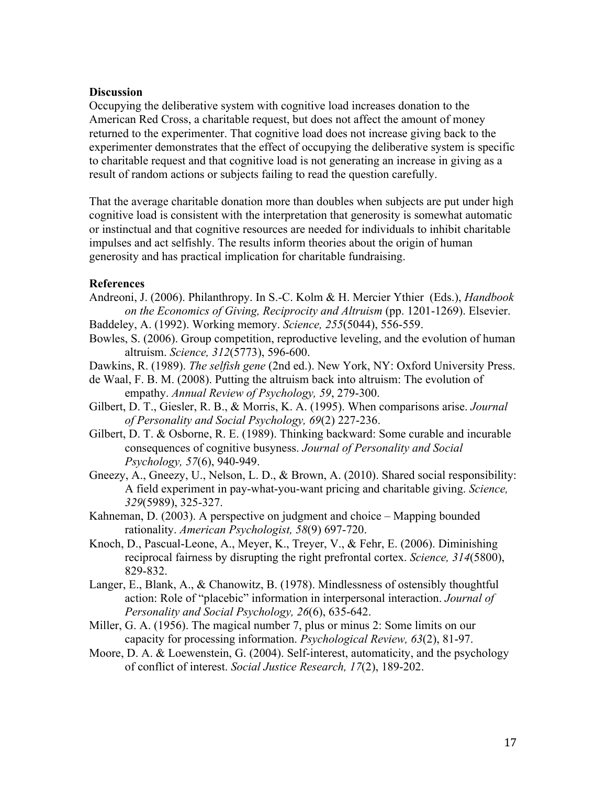#### **Discussion**

Occupying the deliberative system with cognitive load increases donation to the American Red Cross, a charitable request, but does not affect the amount of money returned to the experimenter. That cognitive load does not increase giving back to the experimenter demonstrates that the effect of occupying the deliberative system is specific to charitable request and that cognitive load is not generating an increase in giving as a result of random actions or subjects failing to read the question carefully.

That the average charitable donation more than doubles when subjects are put under high cognitive load is consistent with the interpretation that generosity is somewhat automatic or instinctual and that cognitive resources are needed for individuals to inhibit charitable impulses and act selfishly. The results inform theories about the origin of human generosity and has practical implication for charitable fundraising.

#### **References**

- Andreoni, J. (2006). Philanthropy. In S.-C. Kolm & H. Mercier Ythier (Eds.), *Handbook on the Economics of Giving, Reciprocity and Altruism* (pp. 1201-1269). Elsevier.
- Baddeley, A. (1992). Working memory. *Science, 255*(5044), 556-559.
- Bowles, S. (2006). Group competition, reproductive leveling, and the evolution of human altruism. *Science, 312*(5773), 596-600.
- Dawkins, R. (1989). *The selfish gene* (2nd ed.). New York, NY: Oxford University Press.
- de Waal, F. B. M. (2008). Putting the altruism back into altruism: The evolution of empathy. *Annual Review of Psychology, 59*, 279-300.
- Gilbert, D. T., Giesler, R. B., & Morris, K. A. (1995). When comparisons arise. *Journal of Personality and Social Psychology, 69*(2) 227-236.
- Gilbert, D. T. & Osborne, R. E. (1989). Thinking backward: Some curable and incurable consequences of cognitive busyness. *Journal of Personality and Social Psychology, 57*(6), 940-949.
- Gneezy, A., Gneezy, U., Nelson, L. D., & Brown, A. (2010). Shared social responsibility: A field experiment in pay-what-you-want pricing and charitable giving. *Science, 329*(5989), 325-327.
- Kahneman, D. (2003). A perspective on judgment and choice Mapping bounded rationality. *American Psychologist, 58*(9) 697-720.
- Knoch, D., Pascual-Leone, A., Meyer, K., Treyer, V., & Fehr, E. (2006). Diminishing reciprocal fairness by disrupting the right prefrontal cortex. *Science, 314*(5800), 829-832.
- Langer, E., Blank, A., & Chanowitz, B. (1978). Mindlessness of ostensibly thoughtful action: Role of "placebic" information in interpersonal interaction. *Journal of Personality and Social Psychology, 26*(6), 635-642.
- Miller, G. A. (1956). The magical number 7, plus or minus 2: Some limits on our capacity for processing information. *Psychological Review, 63*(2), 81-97.
- Moore, D. A. & Loewenstein, G. (2004). Self-interest, automaticity, and the psychology of conflict of interest. *Social Justice Research, 17*(2), 189-202.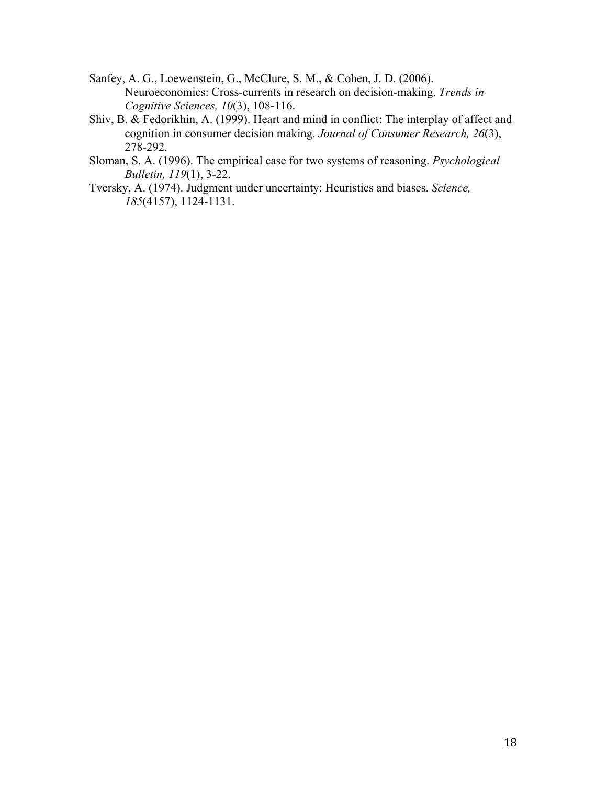- Sanfey, A. G., Loewenstein, G., McClure, S. M., & Cohen, J. D. (2006). Neuroeconomics: Cross-currents in research on decision-making. *Trends in Cognitive Sciences, 10*(3), 108-116.
- Shiv, B. & Fedorikhin, A. (1999). Heart and mind in conflict: The interplay of affect and cognition in consumer decision making. *Journal of Consumer Research, 26*(3), 278-292.
- Sloman, S. A. (1996). The empirical case for two systems of reasoning. *Psychological Bulletin, 119*(1), 3-22.
- Tversky, A. (1974). Judgment under uncertainty: Heuristics and biases. *Science, 185*(4157), 1124-1131.